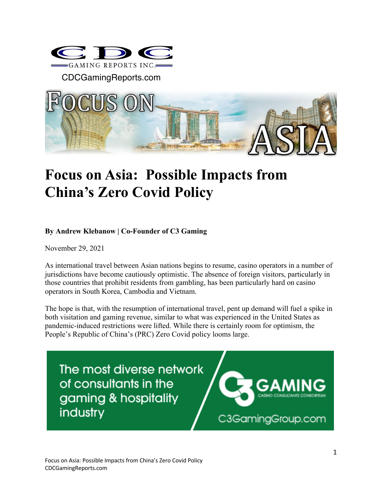

CDCGamingReports.com



## **Focus on Asia: Possible Impacts from China's Zero Covid Policy**

## **By Andrew Klebanow | Co-Founder of C3 Gaming**

November 29, 2021

As international travel between Asian nations begins to resume, casino operators in a number of jurisdictions have become cautiously optimistic. The absence of foreign visitors, particularly in those countries that prohibit residents from gambling, has been particularly hard on casino operators in South Korea, Cambodia and Vietnam.

The hope is that, with the resumption of international travel, pent up demand will fuel a spike in both visitation and gaming revenue, similar to what was experienced in the United States as pandemic-induced restrictions were lifted. While there is certainly room for optimism, the People's Republic of China's (PRC) Zero Covid policy looms large.

The most diverse network of consultants in the gaming & hospitality industry



C3GamingGroup.com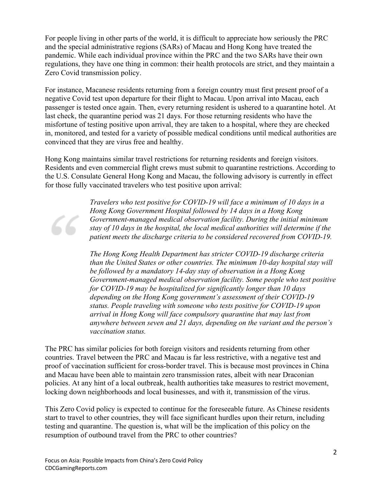For people living in other parts of the world, it is difficult to appreciate how seriously the PRC and the special administrative regions (SARs) of Macau and Hong Kong have treated the pandemic. While each individual province within the PRC and the two SARs have their own regulations, they have one thing in common: their health protocols are strict, and they maintain a Zero Covid transmission policy.

For instance, Macanese residents returning from a foreign country must first present proof of a negative Covid test upon departure for their flight to Macau. Upon arrival into Macau, each passenger is tested once again. Then, every returning resident is ushered to a quarantine hotel. At last check, the quarantine period was 21 days. For those returning residents who have the misfortune of testing positive upon arrival, they are taken to a hospital, where they are checked in, monitored, and tested for a variety of possible medical conditions until medical authorities are convinced that they are virus free and healthy.

Hong Kong maintains similar travel restrictions for returning residents and foreign visitors. Residents and even commercial flight crews must submit to quarantine restrictions. According to the U.S. Consulate General Hong Kong and Macau, the following advisory is currently in effect for those fully vaccinated travelers who test positive upon arrival:

> *Travelers who test positive for COVID-19 will face a minimum of 10 days in a Hong Kong Government Hospital followed by 14 days in a Hong Kong Government-managed medical observation facility. During the initial minimum stay of 10 days in the hospital, the local medical authorities will determine if the patient meets the discharge criteria to be considered recovered from COVID-19.*

*The Hong Kong Health Department has stricter COVID-19 discharge criteria than the United States or other countries. The minimum 10-day hospital stay will be followed by a mandatory 14-day stay of observation in a Hong Kong Government-managed medical observation facility. Some people who test positive for COVID-19 may be hospitalized for significantly longer than 10 days depending on the Hong Kong government's assessment of their COVID-19 status. People traveling with someone who tests positive for COVID-19 upon arrival in Hong Kong will face compulsory quarantine that may last from anywhere between seven and 21 days, depending on the variant and the person's vaccination status.*

The PRC has similar policies for both foreign visitors and residents returning from other countries. Travel between the PRC and Macau is far less restrictive, with a negative test and proof of vaccination sufficient for cross-border travel. This is because most provinces in China and Macau have been able to maintain zero transmission rates, albeit with near Draconian policies. At any hint of a local outbreak, health authorities take measures to restrict movement, locking down neighborhoods and local businesses, and with it, transmission of the virus.

This Zero Covid policy is expected to continue for the foreseeable future. As Chinese residents start to travel to other countries, they will face significant hurdles upon their return, including testing and quarantine. The question is, what will be the implication of this policy on the resumption of outbound travel from the PRC to other countries?